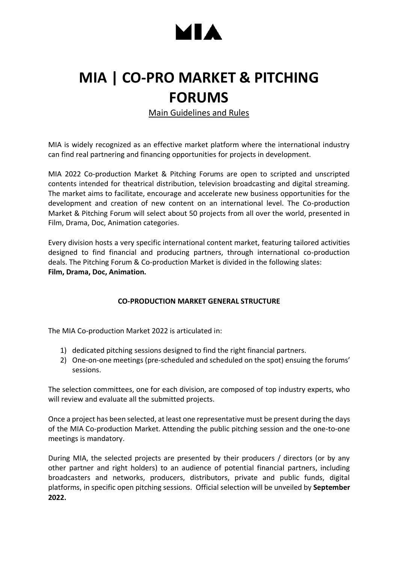# ▌▲

### **MIA | CO-PRO MARKET & PITCHING FORUMS**

Main Guidelines and Rules

MIA is widely recognized as an effective market platform where the international industry can find real partnering and financing opportunities for projects in development.

MIA 2022 Co-production Market & Pitching Forums are open to scripted and unscripted contents intended for theatrical distribution, television broadcasting and digital streaming. The market aims to facilitate, encourage and accelerate new business opportunities for the development and creation of new content on an international level. The Co-production Market & Pitching Forum will select about 50 projects from all over the world, presented in Film, Drama, Doc, Animation categories.

Every division hosts a very specific international content market, featuring tailored activities designed to find financial and producing partners, through international co-production deals. The Pitching Forum & Co-production Market is divided in the following slates: **Film, Drama, Doc, Animation.**

### **CO-PRODUCTION MARKET GENERAL STRUCTURE**

The MIA Co-production Market 2022 is articulated in:

- 1) dedicated pitching sessions designed to find the right financial partners.
- 2) One-on-one meetings (pre-scheduled and scheduled on the spot) ensuing the forums' sessions.

The selection committees, one for each division, are composed of top industry experts, who will review and evaluate all the submitted projects.

Once a project has been selected, at least one representative must be present during the days of the MIA Co-production Market. Attending the public pitching session and the one-to-one meetings is mandatory.

During MIA, the selected projects are presented by their producers / directors (or by any other partner and right holders) to an audience of potential financial partners, including broadcasters and networks, producers, distributors, private and public funds, digital platforms, in specific open pitching sessions. Official selection will be unveiled by **September 2022.**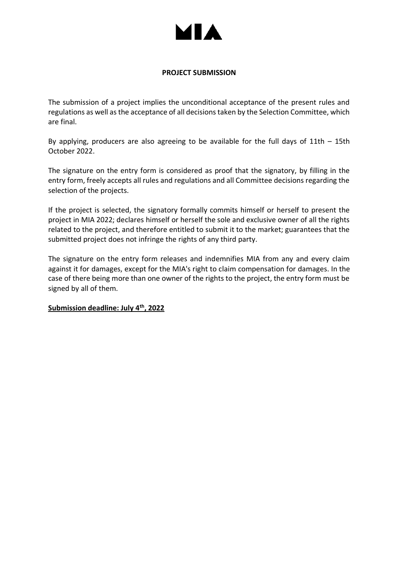

### **PROJECT SUBMISSION**

The submission of a project implies the unconditional acceptance of the present rules and regulations as well as the acceptance of all decisions taken by the Selection Committee, which are final.

By applying, producers are also agreeing to be available for the full days of 11th – 15th October 2022.

The signature on the entry form is considered as proof that the signatory, by filling in the entry form, freely accepts all rules and regulations and all Committee decisions regarding the selection of the projects.

If the project is selected, the signatory formally commits himself or herself to present the project in MIA 2022; declares himself or herself the sole and exclusive owner of all the rights related to the project, and therefore entitled to submit it to the market; guarantees that the submitted project does not infringe the rights of any third party.

The signature on the entry form releases and indemnifies MIA from any and every claim against it for damages, except for the MIA's right to claim compensation for damages. In the case of there being more than one owner of the rights to the project, the entry form must be signed by all of them.

#### **Submission deadline: July 4th, 2022**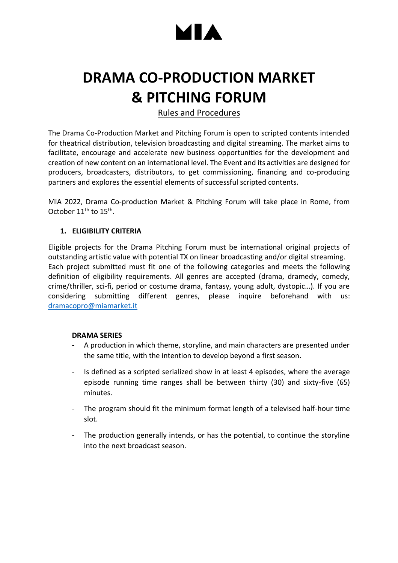# ▌*</del>*

## **DRAMA CO-PRODUCTION MARKET & PITCHING FORUM**

### Rules and Procedures

The Drama Co-Production Market and Pitching Forum is open to scripted contents intended for theatrical distribution, television broadcasting and digital streaming. The market aims to facilitate, encourage and accelerate new business opportunities for the development and creation of new content on an international level. The Event and its activities are designed for producers, broadcasters, distributors, to get commissioning, financing and co-producing partners and explores the essential elements of successful scripted contents.

MIA 2022, Drama Co-production Market & Pitching Forum will take place in Rome, from October 11<sup>th</sup> to 15<sup>th</sup>.

### **1. ELIGIBILITY CRITERIA**

Eligible projects for the Drama Pitching Forum must be international original projects of outstanding artistic value with potential TX on linear broadcasting and/or digital streaming. Each project submitted must fit one of the following categories and meets the following definition of eligibility requirements. All genres are accepted (drama, dramedy, comedy, crime/thriller, sci-fi, period or costume drama, fantasy, young adult, dystopic…). If you are considering submitting different genres, please inquire beforehand with us: dramacopro@miamarket.it

### **DRAMA SERIES**

- A production in which theme, storyline, and main characters are presented under the same title, with the intention to develop beyond a first season.
- Is defined as a scripted serialized show in at least 4 episodes, where the average episode running time ranges shall be between thirty (30) and sixty-five (65) minutes.
- The program should fit the minimum format length of a televised half-hour time slot.
- The production generally intends, or has the potential, to continue the storyline into the next broadcast season.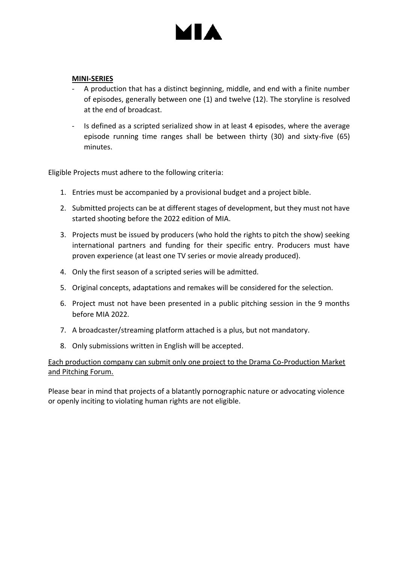# ▌*</del>*

#### **MINI-SERIES**

- A production that has a distinct beginning, middle, and end with a finite number of episodes, generally between one (1) and twelve (12). The storyline is resolved at the end of broadcast.
- Is defined as a scripted serialized show in at least 4 episodes, where the average episode running time ranges shall be between thirty (30) and sixty-five (65) minutes.

Eligible Projects must adhere to the following criteria:

- 1. Entries must be accompanied by a provisional budget and a project bible.
- 2. Submitted projects can be at different stages of development, but they must not have started shooting before the 2022 edition of MIA.
- 3. Projects must be issued by producers (who hold the rights to pitch the show) seeking international partners and funding for their specific entry. Producers must have proven experience (at least one TV series or movie already produced).
- 4. Only the first season of a scripted series will be admitted.
- 5. Original concepts, adaptations and remakes will be considered for the selection.
- 6. Project must not have been presented in a public pitching session in the 9 months before MIA 2022.
- 7. A broadcaster/streaming platform attached is a plus, but not mandatory.
- 8. Only submissions written in English will be accepted.

### Each production company can submit only one project to the Drama Co-Production Market and Pitching Forum.

Please bear in mind that projects of a blatantly pornographic nature or advocating violence or openly inciting to violating human rights are not eligible.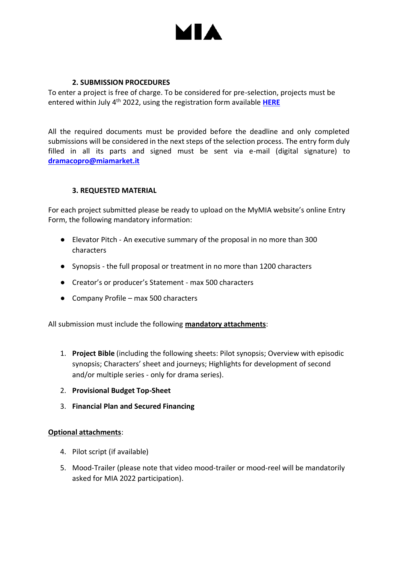

### **2. SUBMISSION PROCEDURES**

To enter a project is free of charge. To be considered for pre-selection, projects must be entered within July 4th 2022, using the registration form available **[HERE](https://my.miamarket.it/)**

All the required documents must be provided before the deadline and only completed submissions will be considered in the next steps of the selection process. The entry form duly filled in all its parts and signed must be sent via e-mail (digital signature) to **[dramacopro@miamarket.it](mailto:dramacopro@miamarket.it)**

### **3. REQUESTED MATERIAL**

For each project submitted please be ready to upload on the MyMIA website's online Entry Form, the following mandatory information:

- Elevator Pitch An executive summary of the proposal in no more than 300 characters
- Synopsis the full proposal or treatment in no more than 1200 characters
- Creator's or producer's Statement max 500 characters
- Company Profile max 500 characters

All submission must include the following **mandatory attachments**:

- 1. **Project Bible** (including the following sheets: Pilot synopsis; Overview with episodic synopsis; Characters' sheet and journeys; Highlights for development of second and/or multiple series - only for drama series).
- 2. **Provisional Budget Top-Sheet**
- 3. **Financial Plan and Secured Financing**

#### **Optional attachments**:

- 4. Pilot script (if available)
- 5. Mood-Trailer (please note that video mood-trailer or mood-reel will be mandatorily asked for MIA 2022 participation).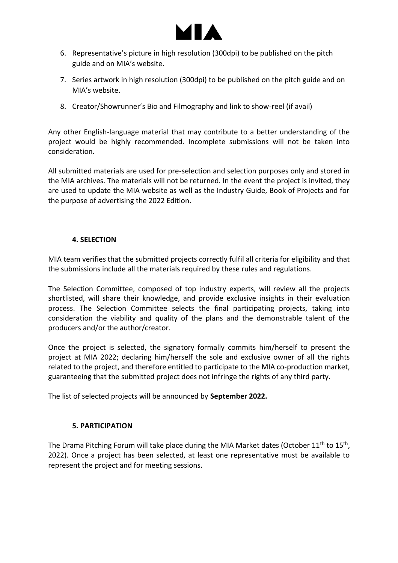

- 6. Representative's picture in high resolution (300dpi) to be published on the pitch guide and on MIA's website.
- 7. Series artwork in high resolution (300dpi) to be published on the pitch guide and on MIA's website.
- 8. Creator/Showrunner's Bio and Filmography and link to show-reel (if avail)

Any other English-language material that may contribute to a better understanding of the project would be highly recommended. Incomplete submissions will not be taken into consideration.

All submitted materials are used for pre-selection and selection purposes only and stored in the MIA archives. The materials will not be returned. In the event the project is invited, they are used to update the MIA website as well as the Industry Guide, Book of Projects and for the purpose of advertising the 2022 Edition.

### **4. SELECTION**

MIA team verifies that the submitted projects correctly fulfil all criteria for eligibility and that the submissions include all the materials required by these rules and regulations.

The Selection Committee, composed of top industry experts, will review all the projects shortlisted, will share their knowledge, and provide exclusive insights in their evaluation process. The Selection Committee selects the final participating projects, taking into consideration the viability and quality of the plans and the demonstrable talent of the producers and/or the author/creator.

Once the project is selected, the signatory formally commits him/herself to present the project at MIA 2022; declaring him/herself the sole and exclusive owner of all the rights related to the project, and therefore entitled to participate to the MIA co-production market, guaranteeing that the submitted project does not infringe the rights of any third party.

The list of selected projects will be announced by **September 2022.**

### **5. PARTICIPATION**

The Drama Pitching Forum will take place during the MIA Market dates (October 11<sup>th</sup> to 15<sup>th</sup>, 2022). Once a project has been selected, at least one representative must be available to represent the project and for meeting sessions.